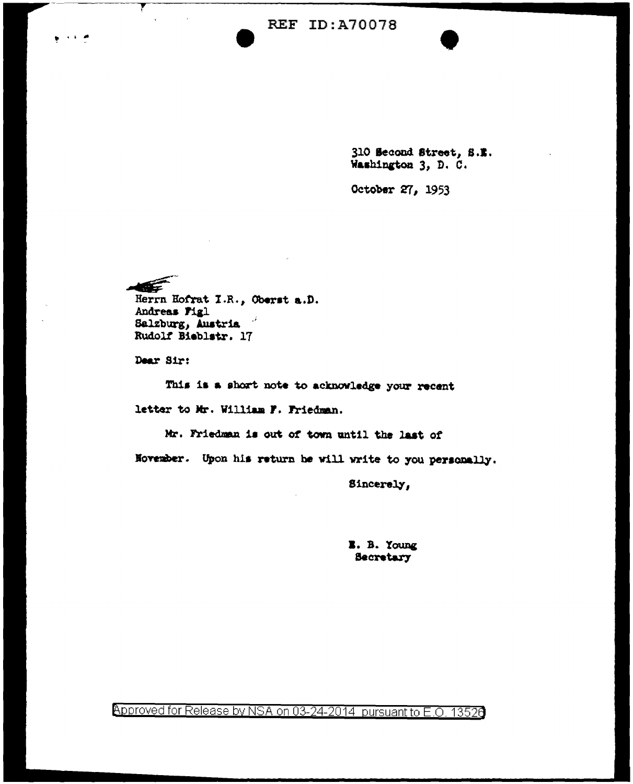310 Second Street, S.E. Washington 3, D. C.

October 27, 1953

KÉ

**ALCOHOL: YES** 

Herrn Hofrat I.R., Oberst a.D. Andreas Figl Salzburg, Austria Rudolf Bieblstr. 17

Dear Sir:

This is a short note to acknowledge your recent letter to Mr. William F. Friedman.

Mr. Friedman is out of town until the last of November. Upon his return he will write to you personally.

Sincerely,

**E.** B. Young **Secretary** 

Approved for Release by NSA on 03-24-2014 pursuant to E.O. 13526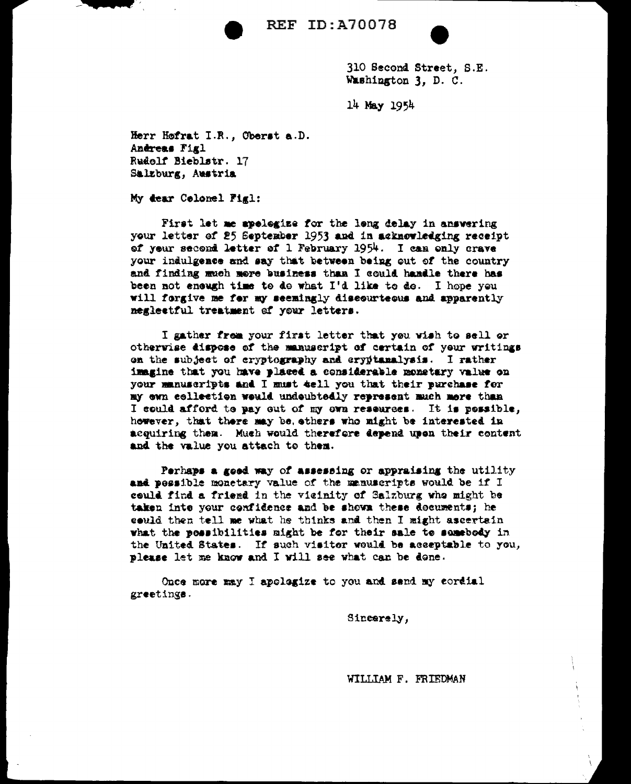

310 Second Street, S.E. Washington 3, D. C.

14 May 1954

Herr Hofrat I.R., Oberst a.D. Andreas Figl Rudolf Bieblstr. 17 Salzburg, Austria

My dear Celonel Figl:

First let me apologize for the long delay in answering your letter of 25 September 1953 and in acknowledging receipt of your second letter of 1 February 1954. I can only crave your indulgence and say that between being out of the country and finding much more business than I could handle there has been not enough time to do what I'd like to do. I hope you will forgive me for my seemingly discourteous and apparently neglectful treatment of your letters.

I gather frem your first letter that you wish to sell or otherwise dispose of the manuscript of certain of your writings on the subject of cryptography and cryptanalysis. I rather imagine that you have placed a considerable monetary value on your manuscripts and I must tell you that their purchase for my ewn cellection would undoubtedly represent much more than I could afford to pay out of my own resources. It is possible, however, that there may be ethers who might be interested in acquiring them. Much would therefore depend upon their content and the value you attach to them.

Perhaps a good way of assessing or appraising the utility and pessible monetary value of the manuscripts would be if I could find a friend in the vicinity of Salzburg who might be taken inte your confidence and be shown these documents; he could then tell me what he thinks and then I might ascertain what the possibilities might be for their sale to samebody in the United States. If such visitor would be acceptable to you, please let me know and I will see what can be done.

Once more may I apologize to you and send my cordial greetings.

Sincerely,

WILLIAM F. FRIEDMAN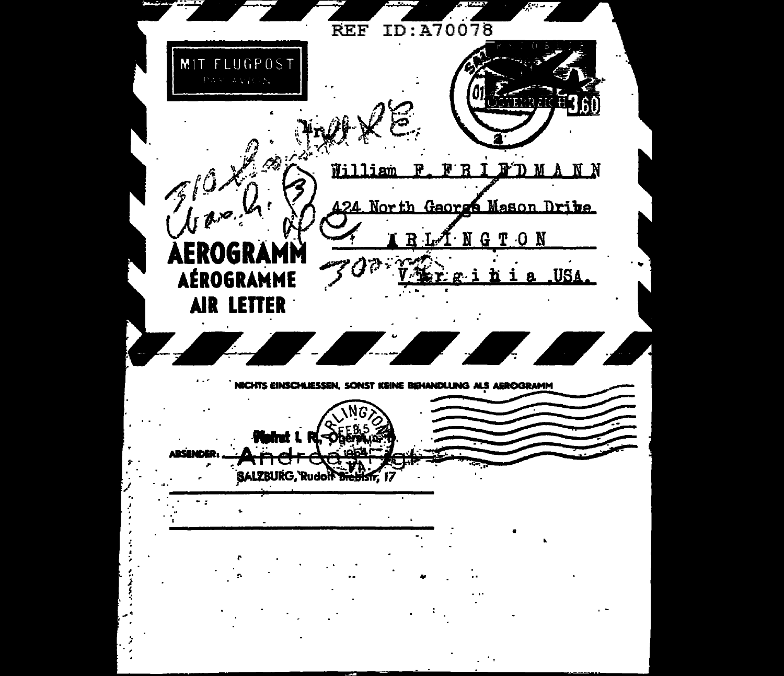**REF** ID:A70078 MIT FLUGPOST **CTERRATE**  $\mathscr{M}$  $7026.6$ FRIFDMANN William  $\mathbf{F}$ 424 North George Mason Drite NGTON AEROGRAMN AÉROGRAMME g i hi a USA AIR LETTER 4 NICHTS EINSCHLIESSEN, SONST KEINE BEHANDLUNG ALS AEROGRAMM **Heimt L RI-Obernum** SALZBURG, Rudolf Dieblsfr ٠.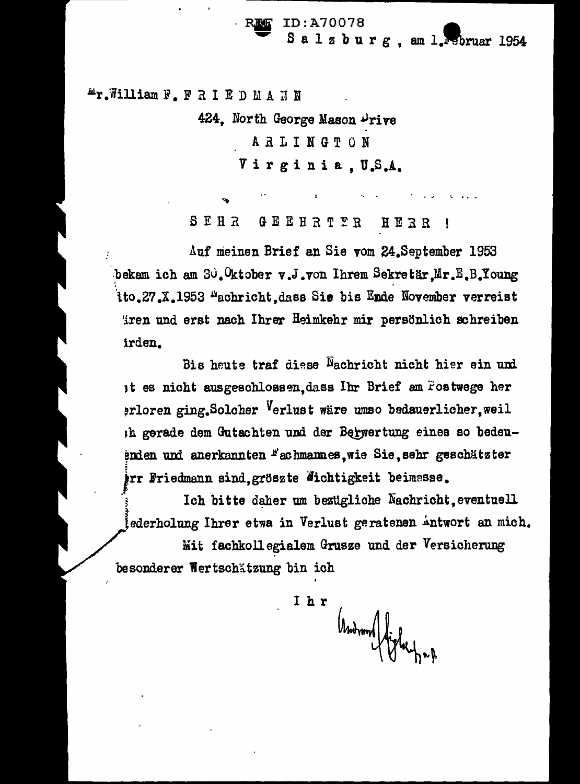ID:A70078 Salzburg, am 1. Februar 1954

**Ar. William F. FRIEDMANN** 

424, North George Mason Drive **ARLINGTON** 

Virginia, U.S.A.

SEHR GEEHRTTR HERR

Auf meinen Brief an Sie vom 24. September 1953 bekam ich am Su. Oktober v.J. von Ihrem Sekretär Mr.E.B. Young ito.27.X.1953 <sup>A</sup>achricht, dass Sie bis Ende November verreist iren und erst nach Ihrer Heimkehr mir persönlich schreiben irden.

Bis heute traf diese Nachricht nicht hier ein und at es nicht ausgeschlossen, dass Ihr Brief am Postwege her prloren ging. Solcher Verlust wäre umso bedauerlicher. weil Ih gerade dem Gutachten und der Berwertung eines so bedeuenden und anerkannten "achmannes, wie Sie, sehr geschätzter irr Friedmann sind, gröszte Wichtigkeit beimesse.

Ich bitte daher um bezügliche Nachricht, eventuell ederholung Ihrer etwa in Verlust geratenen Antwort an mich. Mit fachkollegialem Grusze und der Versicherung

besonderer Wertschätzung bin ich

Ihr Andrond fighting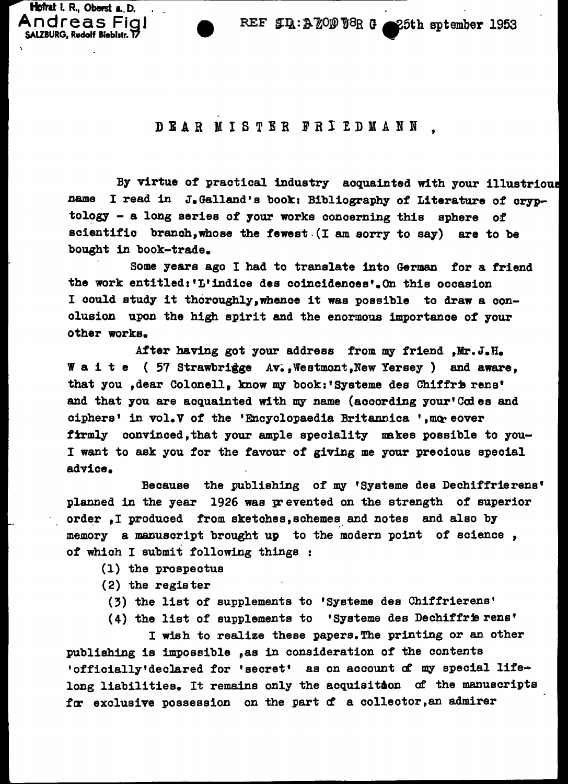REF  $J_1: A_2 \ 0 \ 0 \ 0 \ 0 \ R$  G 25th sptember 1953

### DIAR MISTER FRI I.DIANN '

By virtue of practical industry acquainted with your illustrious name I read in J.Galland's book: Bibliography of Literature of cryptology  $-$  a long series of your works concerning this sphere of scientific branch,whose the fewest.(I am sorry to say) are to be bought in book-trade.

Some years ago I had to translate into German for a friend the work entitled:'L'indice des coincidences•.On this occasion I could study it thoroughly,whenoe it was possible to draw a conclusion upon the high spirit and the enormous importance of your other works.

After having got your address from my friend , Mr. J.H. W a i t e (  $57$  Strawbrigge Av., Westmont, New Yersey ) and aware, that you , dear Colonell, know my book:'Systeme des Chiffrie rens' and that you are acquainted with my name (according your'Codes and ciphers' in vol.V of the 'Encyclopaedia Britannica ', moreover firmly convinced, that your ample speciality makes possible to you-I want to ask you for the favour of giving me your precious special advice.

Because the publishing of my 'Systeme des Dechiffrierens• planned in the year 1926 was prevented on the strength of superior order, I produced from sketches, schemes and notes and also by memory a manuscript brought up to the modern point of science, of which I submit following things

- (1) the prospectus
- (2) the register

Hofrat I. R., Oberst a. D. Andreas Fial SALZBURG, Rudolf Bieblstr. T7

(3) the list of supplements to 'Systeme des Chiffrierens'

(4) the list of supplements to 'Systeme des Dechiffrie rens'

I wish to realize these papers.The printing or an other publishing is impossible ,as in consideration of the contents 'officially'declared for 'secret' as on account of my special lifelong liabilities. It remains only the acquisition of the manuscripts for exclusive possession on the part of a collector, an admirer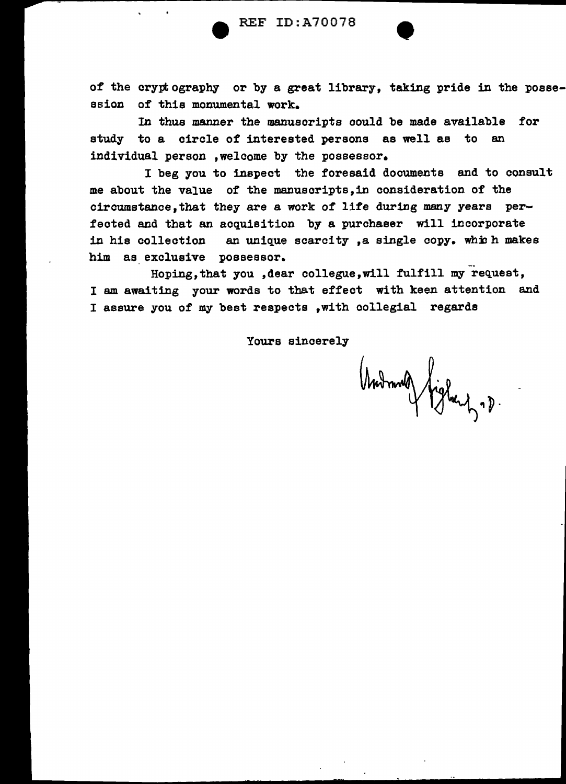of the cryptography or by a great library, taking pride in the possession of this monumental work.

In thus manner the manuscripts could be made available for study to a circle of interested persons as well as to an individual person ,welcome by the possessor.

I beg you to inspect the foresaid documents and to consult me about the value of the manuscripts,in consideration of the circumatance,that they are a work of life during many years perfected and that an acquisition by a purchaser will incorporate in his collection an unique scarcity, a single copy. which makes him as exclusive possessor.

Hoping,that you ,dear collegue,will fulfill my request, I am awaiting your words to that effect with keen attention and I assure you of my best respects ,with oollegial regards

Yours sincerely

Undmald fighery .p.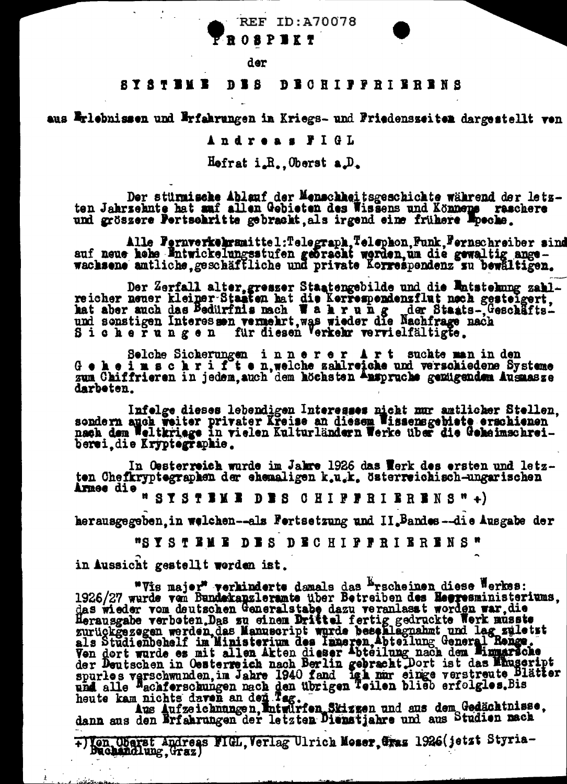**FROSPEKT** 

der

#### SY STEME **DES DECHIPPRIERRENS**

aus Erlebnissen und Erfahrungen in Kriegs- und Friedensseiten dargestellt ven

Andreas FIGL

 $H$ efrat i.R. Oberst a.D.

Der stürmische Ablauf der Menschkeitsgeschichte während der letz-<br>ten Jahrsehnte hat amf allen Gebieten des Wissens und Könnene reschere und gröszere Pertschritte gebraskt, als irgend eine frühere Pocke.

Alle Fernverkehrsmittel:Telegraph, Telephon, Funk, Fernschreiber sind<br>auf neue hebe Entwickelungsstufen gebracht werden, um die gewaltig angewachsene amtliche geschäffliche und private Korrespendenz zu bewältigen.

Der Zerfall alter, gresser Staatengebilde und die Entstehung zahl-<br>reicher neuer kleiner-Staaten hat die Kerrespondensflut noch gestelgert,<br>hat aber auch das Bedürfnis nach Wahr ung der Staats-, Geschäfts-<br>und sonstigen In

Selche Sicherungen innerer Art suchte man in den<br>Geheimschrifte n, welche zahlreiche und verschiedene Systeme<br>zum Chiffrieren in jedem, auch dem höchsten Anspruche gemügendem Ausmasze darbeten.

Infolge dieses lebendigen Interesses nicht mur amtlicher Stellen, sondern auch weiter privater Kreise an diesem Wissensgebiete erschienen nach dem Weltkriege in vielen Kulturländern Werke über die Geheimschreiberei die Kryptegraphie.

In Oesterreich wurde im Jakre 1926 das Werk des ersten und letzten Chefkryptegraphen der ehemaligen k.u.k. österreichisch-ungarischen Armee die

n SYSTEME DES CHIFFRIERENS"+)

herausgegeben, in welchen--als Fortsetzung und II.Bandes--die Ausgabe der

"SYSTEME DES DECHIPPRIERENS"

in Aussicht gestellt worden ist.

"Wis major" weaken and is a problem diese Werkes:<br>"Wis major" weaken and had das Procheinen diese Werkes:<br>1926/27 wurde vom Bundskaplersmeinstabe dazu vermlasst worden war, die<br>Herausgabe verboten, Das zu einem Drittel fer

+)Ven Oberst Andreas FIGL, Verlag Ulrich Moser, Gras 1926(jetzt Styria-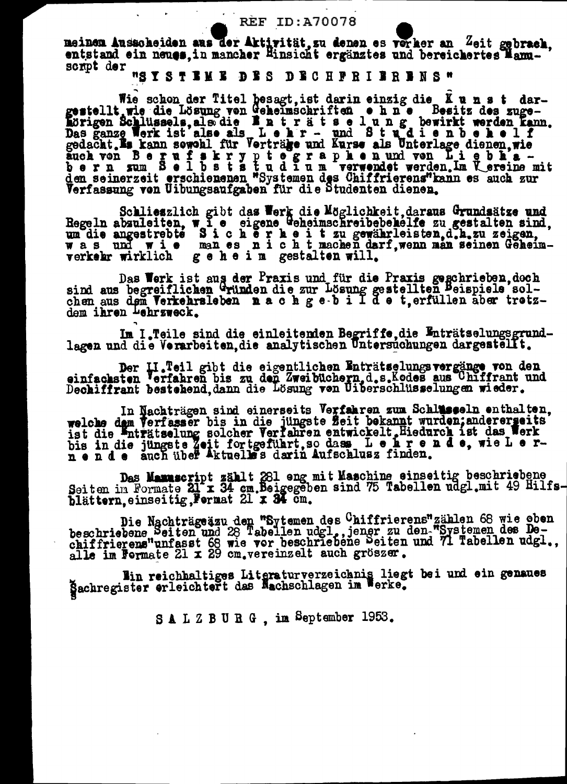meinen Ausscheiden aus der Aktivität, su denen es verker an Zeit gebrach, entstand ein neues, in mancher Hinsicht ergänztes und bereichertes Manuscript der

"SYSTEME DES DECHPRIBRENS"

Wie schon der Titel besagt, ist darin einzig die Kunst dar-<br>gestellt wie die Lösung von Geheimschriften ohne Besitz des zuge-<br>hörigen Schlüssels, als die Enträtselung bewirkt werden kann.<br>Das ganze Werk ist also als Lohr auch von Berufskryptege wird wiese als viraliste uiden, wie auch von Berufskryptege wird wie als viraliste uiden, in den Berufskryptege als die nach von Liepbla-<br>bern sum Belbststudium verwendet werden. Im Vereine mit<br>den

Schlieszlich gibt das Werk die Möglichkeit, daraus Grundsätze und Regeln abzuleiten, wie eigene Geheimschreibebehelfe zu gestalten sind, un die angestrebte Sicherheiten in die angestrebte Sicherheiten der Regerikten, d. A.

Das Werk ist aus der Praxis und für die Praxis geschrieben, doch<br>sind aus begreiflichen Gründen die zur Lösung gestellten Peispiele sol-<br>chen aus dem Verkehrsleben nach gebilde solphare tretzdem ihren Lehrzweck.

Im I.Teile sind die einleitenden Begriffe, die Enträtselungsgrund-<br>lagen und die Verarbeiten, die analytischen Untersuchungen dargestellt.

Der II.Teil gibt die eigentlichen Enträtselungsvergänge von den einfachsten Verfahren bis zu den Zweibüchern, d.s.Kodes aus Uhiffrant und Dechiffrant bestehend, dann die Lösung von Uiberschlüsselungen wieder.

In Nachträgen sind einerseits Verfahren zum Schlusseln enthalten,<br>welche dem Verfasser bis in die jüngste Zeit bekannt wurden; anderergeits<br>ist die Enträtselung solcher Verfahren entwickelt Hiedurch ist das Werk<br>bis in die

Das Mamuscript zählt 281 eng mit Maschine einseitig beschriebene<br>Seiten im Formate 21 x 34 cm. Beigegeben sind 75 Tabellen udgl.mit 49 Hilfs-<br>blättern, einseitig, Fermat 21 x 34 cm.

Die Nachträge zu den "Sytemen des Chiffrierens" zählen 68 wie oben<br>beschriebene Beiten und 28 Tabellen udgl., jener zu den "Systemen des De-<br>chiffrierens"unfasst 68 wie vor beschriebene Beiten und 71 Tabellen udgl.,<br>alle i

Win reichhaltiges Literaturverzeichnis liegt bei und ein genaues

SALZBURG, im September 1953.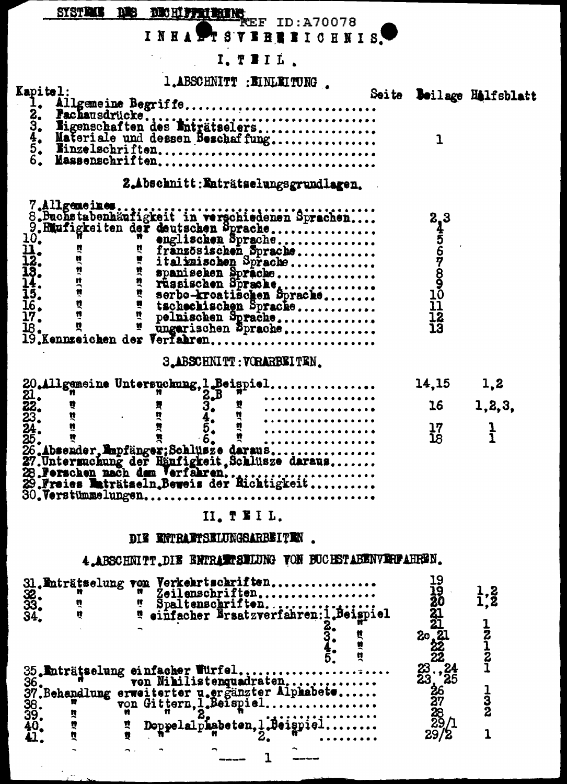SYSTEMS DECEMBERED: A70078<br>INRAPT SYSBERICHNIS. **CONSTRUCTION**  $\overline{a}$ 

| T.ABSCHNITT : EINLEITUNG                                                                                                                                                                                                       |                        |                          |
|--------------------------------------------------------------------------------------------------------------------------------------------------------------------------------------------------------------------------------|------------------------|--------------------------|
| Kapitel:                                                                                                                                                                                                                       |                        | Seite Beilage Halfsblatt |
| Allgemeine Begriffe<br>$\mathbf{I}_{\bullet}$                                                                                                                                                                                  |                        |                          |
| 23345.<br>6.<br>6.<br>6.                                                                                                                                                                                                       |                        |                          |
|                                                                                                                                                                                                                                | $\mathbf{I}$           |                          |
| Materiale und dessen Beschaf fung                                                                                                                                                                                              |                        |                          |
| Massenschriften                                                                                                                                                                                                                |                        |                          |
| 2.Abschnitt: Enträtselungsgrundlagen.                                                                                                                                                                                          |                        |                          |
| 7.Allgemeines                                                                                                                                                                                                                  |                        |                          |
|                                                                                                                                                                                                                                |                        |                          |
|                                                                                                                                                                                                                                | <b>2.4567890101123</b> |                          |
|                                                                                                                                                                                                                                |                        |                          |
|                                                                                                                                                                                                                                |                        |                          |
|                                                                                                                                                                                                                                |                        |                          |
|                                                                                                                                                                                                                                |                        |                          |
|                                                                                                                                                                                                                                |                        |                          |
|                                                                                                                                                                                                                                |                        |                          |
|                                                                                                                                                                                                                                |                        |                          |
|                                                                                                                                                                                                                                |                        |                          |
| S.ABSCHNITT: VORARBEITEN.                                                                                                                                                                                                      |                        |                          |
|                                                                                                                                                                                                                                | 14,15                  | 1,2                      |
| 20. 1 m 3. 5. 1 m 3. 1 m 3. 1 m 3. 1 m 3. 1 m 3. 1 m 3. 1 m 3. 1 m 3. 1 m 3. 1 m 3. 1 m 3. 1 m 3. 1 m 3. 1 m 3. 1 m 3. 1 m 3. 1 m 3. 1 m 3. 1 m 3. 1 m 3. 1 m 3. 1 m 3. 1 m 3. 1 m 3. 1 m 3. 1 m 3. 1 m 3. 1 m 3. 1 m 3. 1 m 3 | 16                     | 1,2,3,                   |
|                                                                                                                                                                                                                                | $\frac{17}{18}$        | <u>ן</u><br>נ            |
|                                                                                                                                                                                                                                |                        |                          |
|                                                                                                                                                                                                                                |                        |                          |
|                                                                                                                                                                                                                                |                        |                          |
|                                                                                                                                                                                                                                |                        |                          |
|                                                                                                                                                                                                                                |                        |                          |
| II. TEIL.                                                                                                                                                                                                                      |                        |                          |

DIE ENTRAFTSELUNGSARBEITEN.

4. ABSCHNITT. DIE ENTRAMPLEMENT VON BUCHSTABENVERPAHREN.

|  | 35. Enträtselung einfacher Würfel<br>36. Ten Nihilistenquadraten | 21<br>20<br>22<br>22<br>23<br>23<br>24<br>$\overline{25}$ |  |
|--|------------------------------------------------------------------|-----------------------------------------------------------|--|
|  |                                                                  | <b>ş</b><br><b>238233</b>                                 |  |
|  | Doppelalphabeten, J.Beigpiel                                     | 29/2                                                      |  |

 $\sim$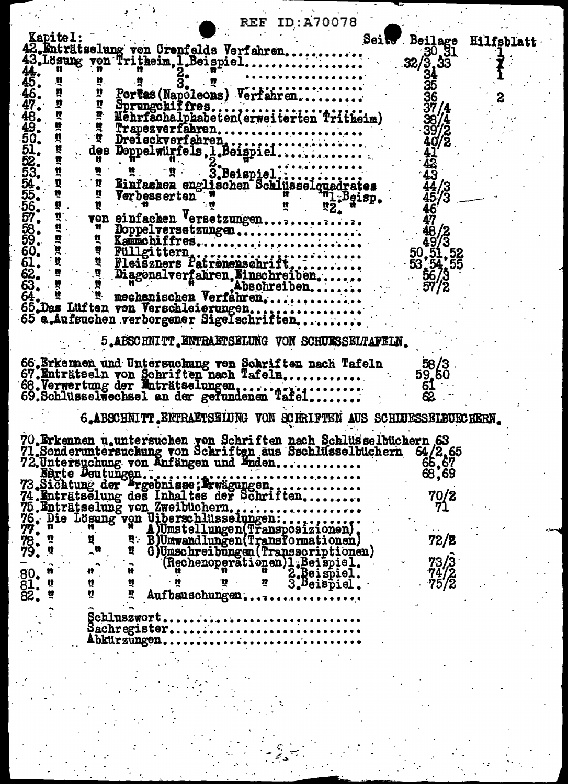|                            |              |                                                                   |   | <b>REF ID:A70078</b>          |                       |                                                                                       |                   |
|----------------------------|--------------|-------------------------------------------------------------------|---|-------------------------------|-----------------------|---------------------------------------------------------------------------------------|-------------------|
|                            |              |                                                                   |   |                               |                       |                                                                                       |                   |
| Kapitel:                   |              |                                                                   |   |                               |                       | Seits Beilage                                                                         | <b>Hilfsblatt</b> |
|                            |              | 42. Enträtselung von Crenfelds Verfahren                          |   |                               |                       | 30.31                                                                                 |                   |
|                            |              | 43. Lösung von Tritheim, I.Beispiel                               |   |                               |                       | $32/\sqrt{3}$ , $33$                                                                  |                   |
|                            |              |                                                                   |   |                               |                       | 34                                                                                    |                   |
|                            |              |                                                                   |   |                               |                       |                                                                                       |                   |
|                            |              | Portas (Napoleons) Verfahren                                      |   |                               |                       |                                                                                       |                   |
|                            |              |                                                                   |   |                               |                       |                                                                                       |                   |
|                            |              |                                                                   |   |                               |                       | 37/4                                                                                  |                   |
|                            |              |                                                                   |   |                               |                       | 387                                                                                   |                   |
|                            |              |                                                                   |   |                               |                       |                                                                                       |                   |
|                            |              |                                                                   |   |                               |                       |                                                                                       |                   |
| ă                          |              |                                                                   |   |                               |                       |                                                                                       |                   |
| 黄 竹 竹                      |              |                                                                   |   |                               |                       | $\cdot$ $\bar{42}$                                                                    |                   |
|                            |              |                                                                   |   |                               |                       | $-43$                                                                                 |                   |
|                            |              |                                                                   |   |                               |                       |                                                                                       |                   |
| $\ddot{q}$                 | $\mathbf{M}$ | Verbesserten                                                      |   |                               |                       |                                                                                       |                   |
| Ř                          | 豐            |                                                                   |   |                               | $n_2$ , $n_3$ , $n_4$ |                                                                                       |                   |
|                            |              | von einfachen Versetzungen                                        |   |                               |                       | $\frac{44}{45/3}$<br>$\frac{45}{46}$                                                  |                   |
| <b>5455595959595555568</b> |              |                                                                   |   |                               |                       | $\begin{array}{c} 46 \\ 49/3 \\ 50, 51, 52 \\ 53, 54, 55 \\ 56/3 \\ 57/2 \end{array}$ |                   |
|                            |              | Kanmchiffres                                                      |   |                               |                       |                                                                                       |                   |
|                            |              |                                                                   |   |                               |                       |                                                                                       |                   |
|                            |              |                                                                   |   |                               |                       |                                                                                       |                   |
|                            |              |                                                                   |   |                               |                       |                                                                                       |                   |
|                            |              |                                                                   |   |                               |                       |                                                                                       |                   |
|                            |              |                                                                   |   |                               |                       |                                                                                       |                   |
| 64.                        |              | mechanischen Verfahren                                            |   |                               |                       |                                                                                       |                   |
|                            |              | 65.Das Luften von Verschleierungen                                |   |                               |                       |                                                                                       |                   |
|                            |              | 65 a.Aufsuchen verborgener Sigelschriften                         |   |                               |                       |                                                                                       |                   |
|                            |              |                                                                   |   |                               |                       |                                                                                       |                   |
|                            |              | 5.ABSCHNITT. ENTRAETSELUNG VON SCHUESSELTAFELN.                   |   |                               |                       |                                                                                       |                   |
|                            |              |                                                                   |   |                               |                       |                                                                                       |                   |
|                            |              | 66.Erkennen und Untersuchung von Schriften nach Tafeln            |   |                               |                       | 58/3                                                                                  |                   |
|                            |              |                                                                   |   |                               |                       | 59,50                                                                                 |                   |
|                            |              |                                                                   |   |                               |                       | 61                                                                                    |                   |
|                            |              |                                                                   |   |                               |                       |                                                                                       |                   |
|                            |              |                                                                   |   |                               |                       |                                                                                       |                   |
|                            |              | 6.ABSCHNITT. ENTRAETSEIUNG VON SCHRIFTEN AUS SCHLUESSELBUECHERN.  |   |                               |                       |                                                                                       |                   |
|                            |              |                                                                   |   |                               |                       |                                                                                       |                   |
|                            |              | 70. Erkennen u.untersuchen von Schriften nach Schlusselbüchern 63 |   |                               |                       |                                                                                       |                   |
|                            |              | 71.Sonderuntersuchung von Schriften aus Sschlüsselbüchern         |   |                               |                       | 64/2,65                                                                               |                   |
|                            |              | 72. Untersuchung von Anfängen und Enden                           |   |                               |                       |                                                                                       |                   |
|                            |              |                                                                   |   |                               |                       | 66,67<br>68,69                                                                        |                   |
|                            |              |                                                                   |   |                               |                       |                                                                                       |                   |
|                            |              |                                                                   |   |                               |                       | 70/2                                                                                  |                   |
|                            |              |                                                                   |   |                               |                       |                                                                                       |                   |
|                            |              | 75. Enträtselung von Zweibüchern                                  |   |                               |                       |                                                                                       |                   |
|                            |              |                                                                   |   |                               |                       |                                                                                       |                   |
|                            |              |                                                                   |   |                               |                       |                                                                                       |                   |
|                            |              |                                                                   |   |                               |                       | 72/2                                                                                  |                   |
|                            |              | O)Umschreibungen (Transscriptionen)                               |   |                               |                       |                                                                                       |                   |
|                            |              |                                                                   |   | Techenoperationen)1.Beispiel. |                       | 73/3                                                                                  |                   |
|                            |              |                                                                   |   |                               |                       | 74/2<br>75/2                                                                          |                   |
|                            | ñ            |                                                                   | か | 3. Beispiel.                  |                       |                                                                                       |                   |
| 80.<br>81.<br>82.          | ú<br>n       | Aufbauschungen.                                                   |   |                               |                       |                                                                                       |                   |
|                            |              |                                                                   |   |                               |                       |                                                                                       |                   |
|                            | Schluszwort. |                                                                   |   |                               |                       |                                                                                       |                   |
|                            |              | $S2chregister$                                                    |   |                               |                       |                                                                                       |                   |
|                            |              | Abkürzüngen                                                       |   |                               |                       |                                                                                       |                   |
|                            |              |                                                                   |   |                               |                       |                                                                                       |                   |
|                            |              |                                                                   |   |                               |                       |                                                                                       |                   |
|                            |              |                                                                   |   |                               |                       |                                                                                       |                   |

 $\ddot{\phantom{a}}$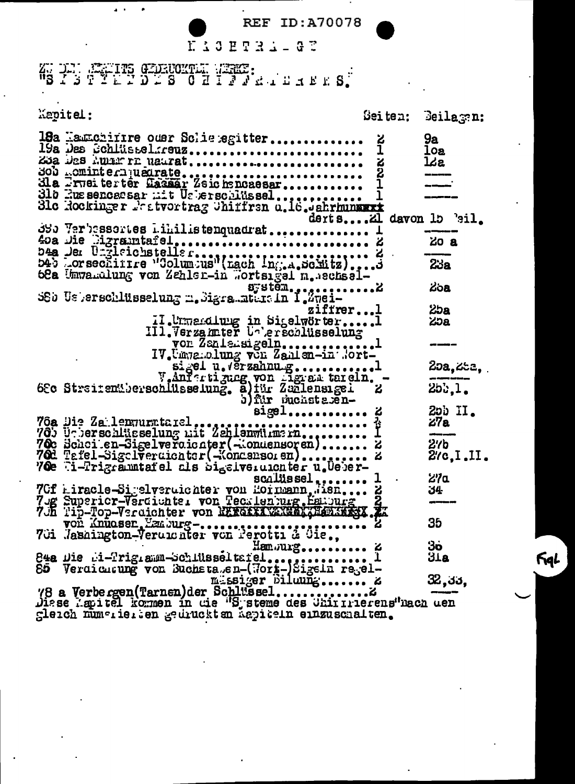KACHTRA-GE

WEIT STATES GENERAL WERE:

| Kapitel:                                                                                                                                                                                                                                            |                                                 | Seiten: Beilagen:            |
|-----------------------------------------------------------------------------------------------------------------------------------------------------------------------------------------------------------------------------------------------------|-------------------------------------------------|------------------------------|
| 18a Hamchirre ouer Schietegitter<br>19a Des Schlüsselsreuz<br>ZJA JES AULETI NAUTAT<br>300 comintern usurate<br>dla Irveiter ter Gassar Zeichencaesar<br>31b Eussencasar mit Usberschlüssel<br>31c Rockinger Peatvortrag Uniffran a.16. Jahrhunaart | ۼ<br>1<br><u>ដែន</u><br>derts Zi davon 15 'eil. | 9а<br>loa<br>lce.            |
| 380 Varbassertes Lihillistenquadrat<br>40a Die Digramtafel,  A                                                                                                                                                                                      |                                                 | 20a<br>23a                   |
| $s$ ; stěm., , , , 2<br>SSb Usberschlüsselung m. Sigramment in I.Zugi-<br>ziffrerl                                                                                                                                                                  |                                                 | <b>Zoa</b><br>25a            |
| II. Unmerdlung in Sigelwörter1<br>III. Verzamter Unberschlüsselung<br>vor Zaniersigeln1<br>IV.Umaralung von Zanien-in Nort-<br>siget u. Verzahnug1                                                                                                  |                                                 | ಸಿಂ<br>25a, 25a,             |
| Jantarijang von Harattereln.<br>$sigel$                                                                                                                                                                                                             | ъ.<br>ሪ                                         | 25:1.<br>$200$ II.           |
| 76a Die Za lenummtarel<br>70e Ti-Trigrammtafel als bi <sub>s</sub> eiveruichter u.Ueber-                                                                                                                                                            | z<br>۵                                          | 27a<br>$2$ '/b<br>2/c, I, II |
| $scality set$<br>70f Liracle-Sigelveruichter von Hornann, Jien 2<br>70g Superior-Verdichter von Tecklenburg, Esipurg<br>70h Tip-Top-Verdichter von NETGEER WARD ABSCHEER TE                                                                         |                                                 | ሪ/α<br>34                    |
| Hamourg &                                                                                                                                                                                                                                           |                                                 | 35<br>ვი<br>31a              |
|                                                                                                                                                                                                                                                     |                                                 | 32,33,                       |

Sperch numerier en Sentnekten webiteln ennanscharten.

FigL